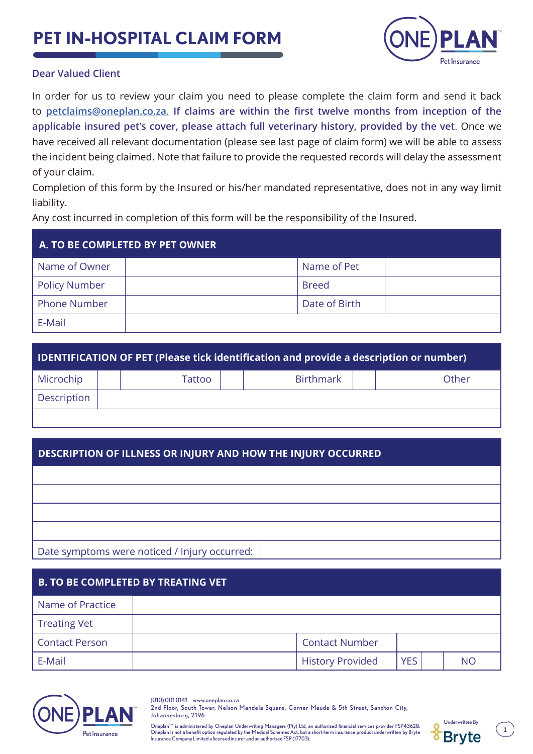## **PET IN-HOSPITAL CLAIM FORM**



## **Dear Valued Client**

In order for us to review your claim you need to please complete the claim form and send it back to **petclaims@oneplan.co.za**. **If claims are within the first twelve months from inception of the applicable insured pet's cover, please attach full veterinary history, provided by the vet**. Once we have received all relevant documentation (please see last page of claim form) we will be able to assess the incident being claimed. Note that failure to provide the requested records will delay the assessment of your claim.

Completion of this form by the Insured or his/her mandated representative, does not in any way limit liability.

Any cost incurred in completion of this form will be the responsibility of the Insured.

| A. TO BE COMPLETED BY PET OWNER |  |               |  |  |
|---------------------------------|--|---------------|--|--|
| Name of Owner                   |  | Name of Pet   |  |  |
| <b>Policy Number</b>            |  | <b>Breed</b>  |  |  |
| <b>Phone Number</b>             |  | Date of Birth |  |  |
| E-Mail                          |  |               |  |  |

| IDENTIFICATION OF PET (Please tick identification and provide a description or number) |  |        |                  |       |  |
|----------------------------------------------------------------------------------------|--|--------|------------------|-------|--|
| Microchip                                                                              |  | Tattoo | <b>Birthmark</b> | Other |  |
| <b>Description</b>                                                                     |  |        |                  |       |  |
|                                                                                        |  |        |                  |       |  |

## **DESCRIPTION OF ILLNESS OR INJURY AND HOW THE INJURY OCCURRED**

Date symptoms were noticed / Injury occurred:

| <b>B. TO BE COMPLETED BY TREATING VET</b> |  |                         |            |  |    |  |
|-------------------------------------------|--|-------------------------|------------|--|----|--|
| Name of Practice                          |  |                         |            |  |    |  |
| <b>Treating Vet</b>                       |  |                         |            |  |    |  |
| <b>Contact Person</b>                     |  | <b>Contact Number</b>   |            |  |    |  |
| E-Mail                                    |  | <b>History Provided</b> | <b>YES</b> |  | NΟ |  |



(010) 001 0141 www.oneplan.co.za 2nd Floor, South Tower, Nelson Mandela Square, Corner Maude & 5th Street, Sandton City, Johannesburg, 2196

Underwritten By Oneplan™ is administered by Oneplan Underwriting Managers (Pty) Ltd, an authorised financial services provider FSP43628. Oneplan is not a benefit option regulated by the Medical Schemes Act, but a short-term insurance product underwritten by Bryte Insurance Company Limited a licensed insurer and an authorised FSP (17703).



**1**